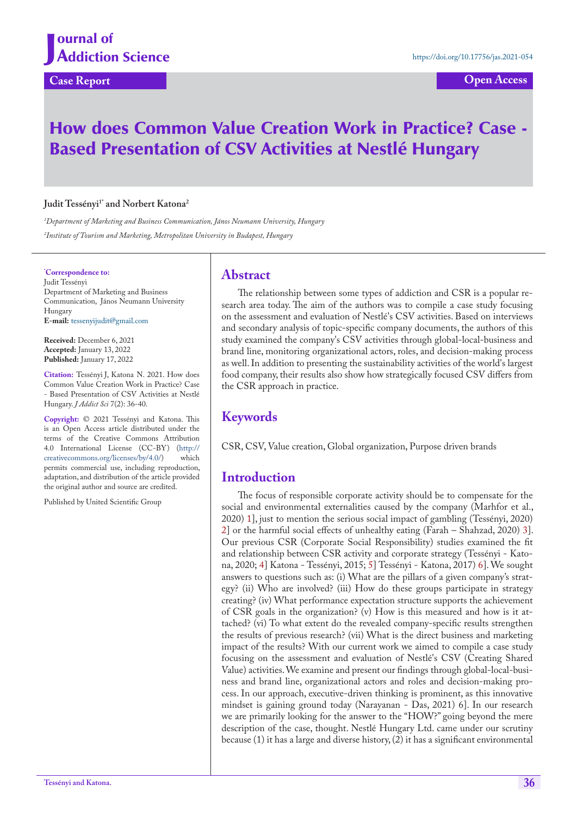## **Case Report Open Access**

# How does Common Value Creation Work in Practice? Case - Based Presentation of CSV Activities at Nestlé Hungary

#### Judit Tessényi<sup>1\*</sup> and Norbert Katona<sup>2</sup>

*1 Department of Marketing and Business Communication, János Neumann University, Hungary 2 Institute of Tourism and Marketing, Metropolitan University in Budapest, Hungary*

**\* Correspondence to:** Judit Tessényi Department of Marketing and Business Communication, János Neumann University Hungary **E-mail:** <tessenyijudit@gmail.com>

**Received:** December 6, 2021 **Accepted:** January 13, 2022 **Published:** January 17, 2022

**Citation:** Tessényi J, Katona N. 2021. How does Common Value Creation Work in Practice? Case - Based Presentation of CSV Activities at Nestlé Hungary. *J Addict Sci* 7(2): 36-40.

**Copyright:** © 2021 Tessényi and Katona. This is an Open Access article distributed under the terms of the Creative Commons Attribution 4.0 International License (CC-BY) (http:// creativecommons.org/licenses/by/4.0/) which permits commercial use, including reproduction, adaptation, and distribution of the article provided the original author and source are credited.

Published by United Scientific Group

#### **Abstract**

The relationship between some types of addiction and CSR is a popular research area today. The aim of the authors was to compile a case study focusing on the assessment and evaluation of Nestlé's CSV activities. Based on interviews and secondary analysis of topic-specific company documents, the authors of this study examined the company's CSV activities through global-local-business and brand line, monitoring organizational actors, roles, and decision-making process as well. In addition to presenting the sustainability activities of the world's largest food company, their results also show how strategically focused CSV differs from the CSR approach in practice.

## **Keywords**

CSR, CSV, Value creation, Global organization, Purpose driven brands

## **Introduction**

The focus of responsible corporate activity should be to compensate for the social and environmental externalities caused by the company (Marhfor et al., 2020) 1], just to mention the serious social impact of gambling (Tessényi, 2020) 2] or the harmful social effects of unhealthy eating (Farah – Shahzad, 2020) 3]. Our previous CSR (Corporate Social Responsibility) studies examined the fit and relationship between CSR activity and corporate strategy (Tessényi - Katona, 2020; 4] Katona - Tessényi, 2015; 5] Tessényi - Katona, 2017) 6]. We sought answers to questions such as: (i) What are the pillars of a given company's strategy? (ii) Who are involved? (iii) How do these groups participate in strategy creating? (iv) What performance expectation structure supports the achievement of CSR goals in the organization? (v) How is this measured and how is it attached? (vi) To what extent do the revealed company-specific results strengthen the results of previous research? (vii) What is the direct business and marketing impact of the results? With our current work we aimed to compile a case study focusing on the assessment and evaluation of Nestlé's CSV (Creating Shared Value) activities. We examine and present our findings through global-local-business and brand line, organizational actors and roles and decision-making process. In our approach, executive-driven thinking is prominent, as this innovative mindset is gaining ground today (Narayanan - Das, 2021) 6]. In our research we are primarily looking for the answer to the "HOW?" going beyond the mere description of the case, thought. Nestlé Hungary Ltd. came under our scrutiny because (1) it has a large and diverse history, (2) it has a significant environmental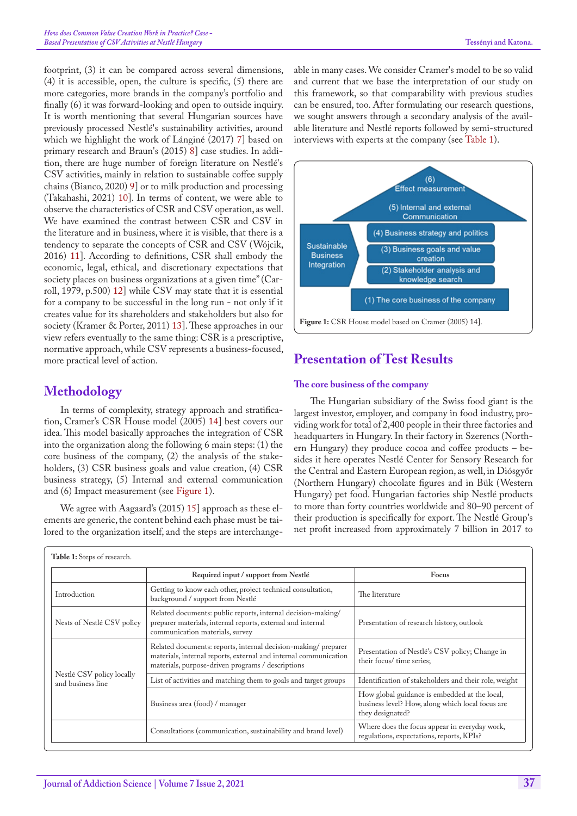footprint, (3) it can be compared across several dimensions, (4) it is accessible, open, the culture is specific, (5) there are more categories, more brands in the company's portfolio and finally (6) it was forward-looking and open to outside inquiry. It is worth mentioning that several Hungarian sources have previously processed Nestlé's sustainability activities, around which we highlight the work of Lánginé (2017) 7] based on primary research and Braun's (2015) 8] case studies. In addition, there are huge number of foreign literature on Nestlé's CSV activities, mainly in relation to sustainable coffee supply chains (Bianco, 2020) [9\]](#page-4-0) or to milk production and processing (Takahashi, 2021) 10]. In terms of content, we were able to observe the characteristics of CSR and CSV operation, as well. We have examined the contrast between CSR and CSV in the literature and in business, where it is visible, that there is a tendency to separate the concepts of CSR and CSV (Wójcik, 2016) 11]. According to definitions, CSR shall embody the economic, legal, ethical, and discretionary expectations that society places on business organizations at a given time" (Carroll, 1979, p.500) [12\]](#page-4-1) while CSV may state that it is essential for a company to be successful in the long run - not only if it creates value for its shareholders and stakeholders but also for society (Kramer & Porter, 2011) [13\]](#page-4-2). These approaches in our view refers eventually to the same thing: CSR is a prescriptive, normative approach, while CSV represents a business-focused, more practical level of action.

# **Methodology**

In terms of complexity, strategy approach and stratification, Cramer's CSR House model (2005) 14] best covers our idea. This model basically approaches the integration of CSR into the organization along the following 6 main steps: (1) the core business of the company, (2) the analysis of the stakeholders, (3) CSR business goals and value creation, (4) CSR business strategy, (5) Internal and external communication and (6) Impact measurement (see [Figure 1\)](#page-1-0).

We agree with Aagaard's (2015) [15\]](#page-4-3) approach as these elements are generic, the content behind each phase must be tailored to the organization itself, and the steps are interchangeable in many cases. We consider Cramer's model to be so valid and current that we base the interpretation of our study on this framework, so that comparability with previous studies can be ensured, too. After formulating our research questions, we sought answers through a secondary analysis of the available literature and Nestlé reports followed by semi-structured interviews with experts at the company (see [Table 1\)](#page-1-1).



# <span id="page-1-0"></span>**Presentation of Test Results**

### **The core business of the company**

The Hungarian subsidiary of the Swiss food giant is the largest investor, employer, and company in food industry, providing work for total of 2,400 people in their three factories and headquarters in Hungary. In their factory in Szerencs (Northern Hungary) they produce cocoa and coffee products – besides it here operates Nestlé Center for Sensory Research for the Central and Eastern European region, as well, in Diósgyőr (Northern Hungary) chocolate figures and in Bük (Western Hungary) pet food. Hungarian factories ship Nestlé products to more than forty countries worldwide and 80–90 percent of their production is specifically for export. The Nestlé Group's net profit increased from approximately 7 billion in 2017 to

<span id="page-1-1"></span>

|                                                | Required input / support from Nestlé                                                                                                                                                   | Focus                                                                                                                 |
|------------------------------------------------|----------------------------------------------------------------------------------------------------------------------------------------------------------------------------------------|-----------------------------------------------------------------------------------------------------------------------|
| Introduction                                   | Getting to know each other, project technical consultation,<br>background / support from Nestlé                                                                                        | The literature                                                                                                        |
| Nests of Nestlé CSV policy                     | Related documents: public reports, internal decision-making/<br>preparer materials, internal reports, external and internal<br>communication materials, survey                         | Presentation of research history, outlook                                                                             |
| Nestlé CSV policy locally<br>and business line | Related documents: reports, internal decision-making/preparer<br>materials, internal reports, external and internal communication<br>materials, purpose-driven programs / descriptions | Presentation of Nestlé's CSV policy; Change in<br>their focus/ time series;                                           |
|                                                | List of activities and matching them to goals and target groups                                                                                                                        | Identification of stakeholders and their role, weight                                                                 |
|                                                | Business area (food) / manager                                                                                                                                                         | How global guidance is embedded at the local,<br>business level? How, along which local focus are<br>they designated? |
|                                                | Consultations (communication, sustainability and brand level)                                                                                                                          | Where does the focus appear in everyday work,<br>regulations, expectations, reports, KPIs?                            |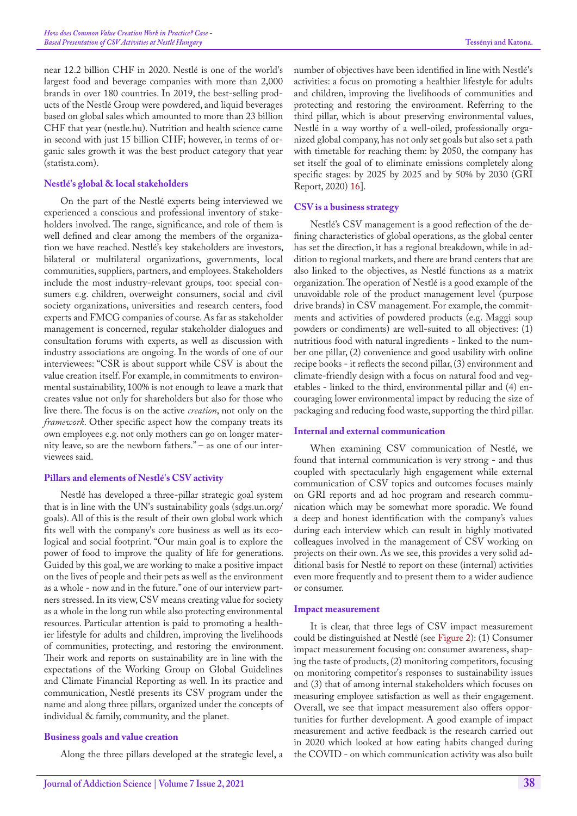near 12.2 billion CHF in 2020. Nestlé is one of the world's largest food and beverage companies with more than 2,000 brands in over 180 countries. In 2019, the best-selling products of the Nestlé Group were powdered, and liquid beverages based on global sales which amounted to more than 23 billion CHF that year (nestle.hu). Nutrition and health science came in second with just 15 billion CHF; however, in terms of organic sales growth it was the best product category that year (statista.com).

#### **Nestlé's global & local stakeholders**

On the part of the Nestlé experts being interviewed we experienced a conscious and professional inventory of stakeholders involved. The range, significance, and role of them is well defined and clear among the members of the organization we have reached. Nestlé's key stakeholders are investors, bilateral or multilateral organizations, governments, local communities, suppliers, partners, and employees. Stakeholders include the most industry-relevant groups, too: special consumers e.g. children, overweight consumers, social and civil society organizations, universities and research centers, food experts and FMCG companies of course. As far as stakeholder management is concerned, regular stakeholder dialogues and consultation forums with experts, as well as discussion with industry associations are ongoing. In the words of one of our interviewees: "CSR is about support while CSV is about the value creation itself. For example, in commitments to environmental sustainability, 100% is not enough to leave a mark that creates value not only for shareholders but also for those who live there. The focus is on the active *creation*, not only on the *framework*. Other specific aspect how the company treats its own employees e.g. not only mothers can go on longer maternity leave, so are the newborn fathers." – as one of our interviewees said.

#### **Pillars and elements of Nestlé's CSV activity**

Nestlé has developed a three-pillar strategic goal system that is in line with the UN's sustainability goals (sdgs.un.org/ goals). All of this is the result of their own global work which fits well with the company's core business as well as its ecological and social footprint. "Our main goal is to explore the power of food to improve the quality of life for generations. Guided by this goal, we are working to make a positive impact on the lives of people and their pets as well as the environment as a whole - now and in the future." one of our interview partners stressed. In its view, CSV means creating value for society as a whole in the long run while also protecting environmental resources. Particular attention is paid to promoting a healthier lifestyle for adults and children, improving the livelihoods of communities, protecting, and restoring the environment. Their work and reports on sustainability are in line with the expectations of the Working Group on Global Guidelines and Climate Financial Reporting as well. In its practice and communication, Nestlé presents its CSV program under the name and along three pillars, organized under the concepts of individual & family, community, and the planet.

#### **Business goals and value creation**

Along the three pillars developed at the strategic level, a

number of objectives have been identified in line with Nestlé's activities: a focus on promoting a healthier lifestyle for adults and children, improving the livelihoods of communities and protecting and restoring the environment. Referring to the third pillar, which is about preserving environmental values, Nestlé in a way worthy of a well-oiled, professionally organized global company, has not only set goals but also set a path with timetable for reaching them: by 2050, the company has set itself the goal of to eliminate emissions completely along specific stages: by 2025 by 2025 and by 50% by 2030 (GRI Report, 2020) [16\]](#page-4-4).

#### **CSV is a business strategy**

Nestlé's CSV management is a good reflection of the defining characteristics of global operations, as the global center has set the direction, it has a regional breakdown, while in addition to regional markets, and there are brand centers that are also linked to the objectives, as Nestlé functions as a matrix organization. The operation of Nestlé is a good example of the unavoidable role of the product management level (purpose drive brands) in CSV management. For example, the commitments and activities of powdered products (e.g. Maggi soup powders or condiments) are well-suited to all objectives: (1) nutritious food with natural ingredients - linked to the number one pillar, (2) convenience and good usability with online recipe books - it reflects the second pillar, (3) environment and climate-friendly design with a focus on natural food and vegetables - linked to the third, environmental pillar and (4) encouraging lower environmental impact by reducing the size of packaging and reducing food waste, supporting the third pillar.

#### **Internal and external communication**

When examining CSV communication of Nestlé, we found that internal communication is very strong - and thus coupled with spectacularly high engagement while external communication of CSV topics and outcomes focuses mainly on GRI reports and ad hoc program and research communication which may be somewhat more sporadic. We found a deep and honest identification with the company's values during each interview which can result in highly motivated colleagues involved in the management of CSV working on projects on their own. As we see, this provides a very solid additional basis for Nestlé to report on these (internal) activities even more frequently and to present them to a wider audience or consumer.

#### **Impact measurement**

It is clear, that three legs of CSV impact measurement could be distinguished at Nestlé (see [Figure 2\)](#page-3-0): (1) Consumer impact measurement focusing on: consumer awareness, shaping the taste of products, (2) monitoring competitors, focusing on monitoring competitor's responses to sustainability issues and (3) that of among internal stakeholders which focuses on measuring employee satisfaction as well as their engagement. Overall, we see that impact measurement also offers opportunities for further development. A good example of impact measurement and active feedback is the research carried out in 2020 which looked at how eating habits changed during the COVID - on which communication activity was also built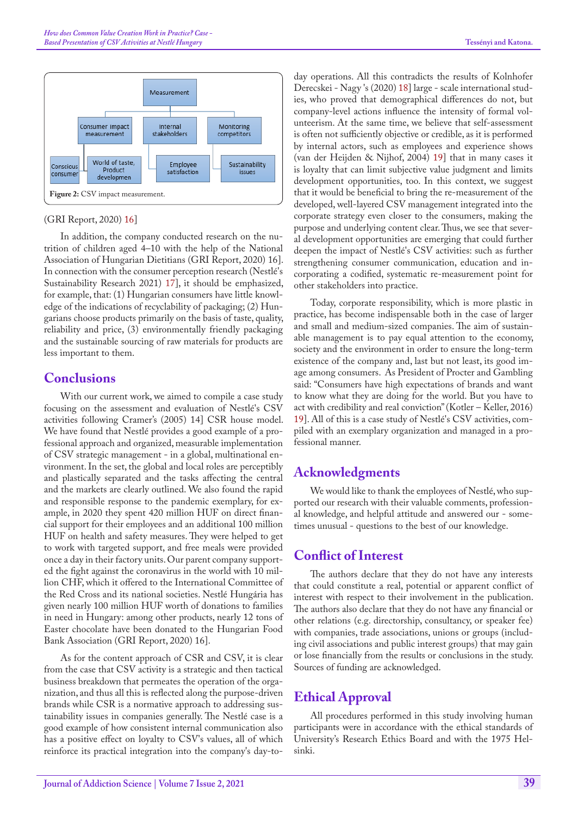

#### <span id="page-3-0"></span>(GRI Report, 2020) [16](#page-4-4)]

In addition, the company conducted research on the nutrition of children aged 4–10 with the help of the National Association of Hungarian Dietitians (GRI Report, 2020) 16]. In connection with the consumer perception research (Nestlé's Sustainability Research 2021) [17\]](#page-4-5), it should be emphasized, for example, that: (1) Hungarian consumers have little knowledge of the indications of recyclability of packaging; (2) Hungarians choose products primarily on the basis of taste, quality, reliability and price, (3) environmentally friendly packaging and the sustainable sourcing of raw materials for products are less important to them.

## **Conclusions**

With our current work, we aimed to compile a case study focusing on the assessment and evaluation of Nestlé's CSV activities following Cramer's (2005) 14] CSR house model. We have found that Nestlé provides a good example of a professional approach and organized, measurable implementation of CSV strategic management - in a global, multinational environment. In the set, the global and local roles are perceptibly and plastically separated and the tasks affecting the central and the markets are clearly outlined. We also found the rapid and responsible response to the pandemic exemplary, for example, in 2020 they spent 420 million HUF on direct financial support for their employees and an additional 100 million HUF on health and safety measures. They were helped to get to work with targeted support, and free meals were provided once a day in their factory units. Our parent company supported the fight against the coronavirus in the world with 10 million CHF, which it offered to the International Committee of the Red Cross and its national societies. Nestlé Hungária has given nearly 100 million HUF worth of donations to families in need in Hungary: among other products, nearly 12 tons of Easter chocolate have been donated to the Hungarian Food Bank Association (GRI Report, 2020) 16].

As for the content approach of CSR and CSV, it is clear from the case that CSV activity is a strategic and then tactical business breakdown that permeates the operation of the organization, and thus all this is reflected along the purpose-driven brands while CSR is a normative approach to addressing sustainability issues in companies generally. The Nestlé case is a good example of how consistent internal communication also has a positive effect on loyalty to CSV's values, all of which reinforce its practical integration into the company's day-to-

day operations. All this contradicts the results of Kolnhofer Derecskei - Nagy 's (2020) [18](#page-4-6)] large - scale international studies, who proved that demographical differences do not, but company-level actions influence the intensity of formal volunteerism. At the same time, we believe that self-assessment is often not sufficiently objective or credible, as it is performed by internal actors, such as employees and experience shows (van der Heijden & Nijhof, 2004) [19](#page-4-7)] that in many cases it is loyalty that can limit subjective value judgment and limits development opportunities, too. In this context, we suggest that it would be beneficial to bring the re-measurement of the developed, well-layered CSV management integrated into the corporate strategy even closer to the consumers, making the purpose and underlying content clear. Thus, we see that several development opportunities are emerging that could further deepen the impact of Nestlé's CSV activities: such as further strengthening consumer communication, education and incorporating a codified, systematic re-measurement point for other stakeholders into practice.

Today, corporate responsibility, which is more plastic in practice, has become indispensable both in the case of larger and small and medium-sized companies. The aim of sustainable management is to pay equal attention to the economy, society and the environment in order to ensure the long-term existence of the company and, last but not least, its good image among consumers. As President of Procter and Gambling said: "Consumers have high expectations of brands and want to know what they are doing for the world. But you have to act with credibility and real conviction" (Kotler – Keller, 2016) 19]. All of this is a case study of Nestlé's CSV activities, compiled with an exemplary organization and managed in a professional manner.

# **Acknowledgments**

We would like to thank the employees of Nestlé, who supported our research with their valuable comments, professional knowledge, and helpful attitude and answered our - sometimes unusual - questions to the best of our knowledge.

## **Conflict of Interest**

The authors declare that they do not have any interests that could constitute a real, potential or apparent conflict of interest with respect to their involvement in the publication. The authors also declare that they do not have any financial or other relations (e.g. directorship, consultancy, or speaker fee) with companies, trade associations, unions or groups (including civil associations and public interest groups) that may gain or lose financially from the results or conclusions in the study. Sources of funding are acknowledged.

# **Ethical Approval**

All procedures performed in this study involving human participants were in accordance with the ethical standards of University's Research Ethics Board and with the 1975 Helsinki.